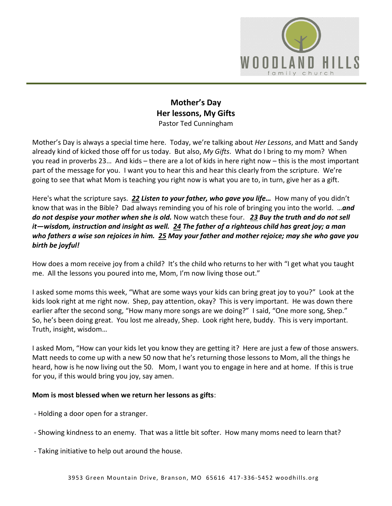

# **Mother's Day Her lessons, My Gifts** Pastor Ted Cunningham

Mother's Day is always a special time here. Today, we're talking about *Her Lessons*, and Matt and Sandy already kind of kicked those off for us today. But also, *My Gifts*. What do I bring to my mom? When you read in proverbs 23… And kids – there are a lot of kids in here right now – this is the most important part of the message for you. I want you to hear this and hear this clearly from the scripture. We're going to see that what Mom is teaching you right now is what you are to, in turn, give her as a gift.

Here's what the scripture says. *[22](https://www.studylight.org/desk/?q=pr%2023:22&t1=en_niv&sr=1) Listen to your father, who gave you life…* How many of you didn't know that was in the Bible? Dad always reminding you of his role of bringing you into the world. …*and do not despise your mother when she is old.* Now watch these four. *[23](https://www.studylight.org/desk/?q=pr%2023:23&t1=en_niv&sr=1) Buy the truth and do not sell it—wisdom, instruction and insight as well. [24](https://www.studylight.org/desk/?q=pr%2023:24&t1=en_niv&sr=1) The father of a righteous child has great joy; a man who fathers a wise son rejoices in him. [25](https://www.studylight.org/desk/?q=pr%2023:25&t1=en_niv&sr=1) May your father and mother rejoice; may she who gave you birth be joyful!*

How does a mom receive joy from a child? It's the child who returns to her with "I get what you taught me. All the lessons you poured into me, Mom, I'm now living those out."

I asked some moms this week, "What are some ways your kids can bring great joy to you?" Look at the kids look right at me right now. Shep, pay attention, okay? This is very important. He was down there earlier after the second song, "How many more songs are we doing?" I said, "One more song, Shep." So, he's been doing great. You lost me already, Shep. Look right here, buddy. This is very important. Truth, insight, wisdom…

I asked Mom, "How can your kids let you know they are getting it? Here are just a few of those answers. Matt needs to come up with a new 50 now that he's returning those lessons to Mom, all the things he heard, how is he now living out the 50. Mom, I want you to engage in here and at home. If this is true for you, if this would bring you joy, say amen.

## **Mom is most blessed when we return her lessons as gifts**:

- Holding a door open for a stranger.
- Showing kindness to an enemy. That was a little bit softer. How many moms need to learn that?
- Taking initiative to help out around the house.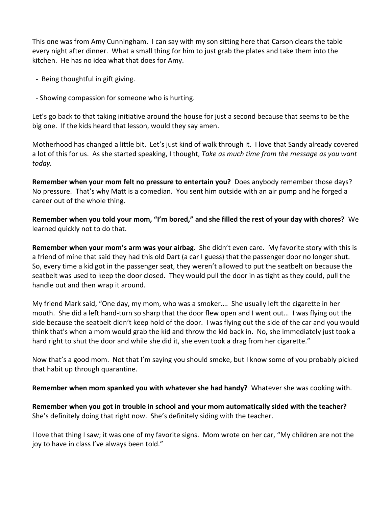This one was from Amy Cunningham. I can say with my son sitting here that Carson clears the table every night after dinner. What a small thing for him to just grab the plates and take them into the kitchen. He has no idea what that does for Amy.

- Being thoughtful in gift giving.

- Showing compassion for someone who is hurting.

Let's go back to that taking initiative around the house for just a second because that seems to be the big one. If the kids heard that lesson, would they say amen.

Motherhood has changed a little bit. Let's just kind of walk through it. I love that Sandy already covered a lot of this for us. As she started speaking, I thought, *Take as much time from the message as you want today.*

**Remember when your mom felt no pressure to entertain you?** Does anybody remember those days? No pressure. That's why Matt is a comedian. You sent him outside with an air pump and he forged a career out of the whole thing.

**Remember when you told your mom, "I'm bored," and she filled the rest of your day with chores?** We learned quickly not to do that.

**Remember when your mom's arm was your airbag**. She didn't even care. My favorite story with this is a friend of mine that said they had this old Dart (a car I guess) that the passenger door no longer shut. So, every time a kid got in the passenger seat, they weren't allowed to put the seatbelt on because the seatbelt was used to keep the door closed. They would pull the door in as tight as they could, pull the handle out and then wrap it around.

My friend Mark said, "One day, my mom, who was a smoker…. She usually left the cigarette in her mouth. She did a left hand-turn so sharp that the door flew open and I went out… I was flying out the side because the seatbelt didn't keep hold of the door. I was flying out the side of the car and you would think that's when a mom would grab the kid and throw the kid back in. No, she immediately just took a hard right to shut the door and while she did it, she even took a drag from her cigarette."

Now that's a good mom. Not that I'm saying you should smoke, but I know some of you probably picked that habit up through quarantine.

**Remember when mom spanked you with whatever she had handy?** Whatever she was cooking with.

**Remember when you got in trouble in school and your mom automatically sided with the teacher?** She's definitely doing that right now. She's definitely siding with the teacher.

I love that thing I saw; it was one of my favorite signs. Mom wrote on her car, "My children are not the joy to have in class I've always been told."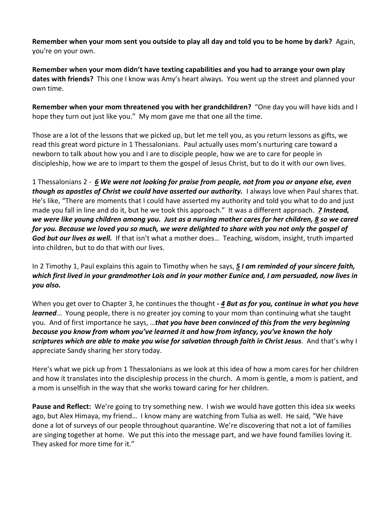**Remember when your mom sent you outside to play all day and told you to be home by dark?** Again, you're on your own.

**Remember when your mom didn't have texting capabilities and you had to arrange your own play dates with friends?** This one I know was Amy's heart always. You went up the street and planned your own time.

**Remember when your mom threatened you with her grandchildren?** "One day you will have kids and I hope they turn out just like you." My mom gave me that one all the time.

Those are a lot of the lessons that we picked up, but let me tell you, as you return lessons as gifts, we read this great word picture in 1 Thessalonians. Paul actually uses mom's nurturing care toward a newborn to talk about how you and I are to disciple people, how we are to care for people in discipleship, how we are to impart to them the gospel of Jesus Christ, but to do it with our own lives.

1 Thessalonians 2 - *[6](https://www.studylight.org/desk/?q=1th%202:6&t1=en_niv&sr=1) We were not looking for praise from people, not from you or anyone else, even though as apostles of Christ we could have asserted our authority.* I always love when Paul shares that. He's like, "There are moments that I could have asserted my authority and told you what to do and just made you fall in line and do it, but he we took this approach." It was a different approach. *[7](https://www.studylight.org/desk/?q=1th%202:7&t1=en_niv&sr=1) Instead, we were like young children among you. Just as a nursing mother cares for her children, [8](https://www.studylight.org/desk/?q=1th%202:8&t1=en_niv&sr=1) so we cared for you. Because we loved you so much, we were delighted to share with you not only the gospel of God but our lives as well.* If that isn't what a mother does… Teaching, wisdom, insight, truth imparted into children, but to do that with our lives.

In 2 Timothy 1, Paul explains this again to Timothy when he says, *[5](https://www.studylight.org/desk/?q=2ti%201:5&t1=en_niv&sr=1) I am reminded of your sincere faith, which first lived in your grandmother Lois and in your mother Eunice and, I am persuaded, now lives in you also.*

When you get over to Chapter 3, he continues the thought *- [4](https://www.studylight.org/desk/?q=2ti%203:14&t1=en_niv&sr=1) But as for you, continue in what you have learned*… Young people, there is no greater joy coming to your mom than continuing what she taught you. And of first importance he says, …*that you have been convinced of this from the very beginning because you know from whom you've learned it and how from infancy, you've known the holy scriptures which are able to make you wise for salvation through faith in Christ Jesus*. And that's why I appreciate Sandy sharing her story today.

Here's what we pick up from 1 Thessalonians as we look at this idea of how a mom cares for her children and how it translates into the discipleship process in the church. A mom is gentle, a mom is patient, and a mom is unselfish in the way that she works toward caring for her children.

**Pause and Reflect:** We're going to try something new. I wish we would have gotten this idea six weeks ago, but Alex Himaya, my friend… I know many are watching from Tulsa as well. He said, "We have done a lot of surveys of our people throughout quarantine. We're discovering that not a lot of families are singing together at home. We put this into the message part, and we have found families loving it. They asked for more time for it."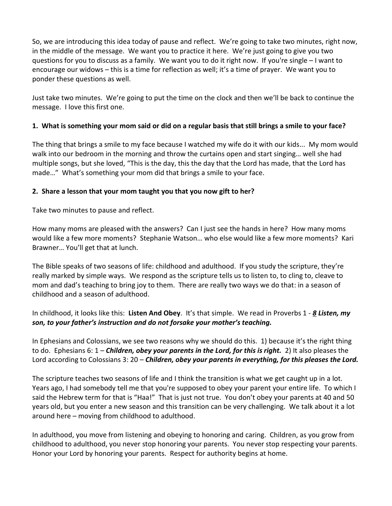So, we are introducing this idea today of pause and reflect. We're going to take two minutes, right now, in the middle of the message. We want you to practice it here. We're just going to give you two questions for you to discuss as a family. We want you to do it right now. If you're single – I want to encourage our widows – this is a time for reflection as well; it's a time of prayer. We want you to ponder these questions as well.

Just take two minutes. We're going to put the time on the clock and then we'll be back to continue the message. I love this first one.

## **1. What is something your mom said or did on a regular basis that still brings a smile to your face?**

The thing that brings a smile to my face because I watched my wife do it with our kids... My mom would walk into our bedroom in the morning and throw the curtains open and start singing… well she had multiple songs, but she loved, "This is the day, this the day that the Lord has made, that the Lord has made…" What's something your mom did that brings a smile to your face.

## **2. Share a lesson that your mom taught you that you now gift to her?**

Take two minutes to pause and reflect.

How many moms are pleased with the answers? Can I just see the hands in here? How many moms would like a few more moments? Stephanie Watson… who else would like a few more moments? Kari Brawner… You'll get that at lunch.

The Bible speaks of two seasons of life: childhood and adulthood. If you study the scripture, they're really marked by simple ways. We respond as the scripture tells us to listen to, to cling to, cleave to mom and dad's teaching to bring joy to them. There are really two ways we do that: in a season of childhood and a season of adulthood.

In childhood, it looks like this: **Listen And Obey**. It's that simple. We read in Proverbs 1 - *[8](https://www.studylight.org/desk/?q=pr%201:8&t1=en_niv&sr=1) Listen, my son, to your father's instruction and do not forsake your mother's teaching.*

In Ephesians and Colossians, we see two reasons why we should do this. 1) because it's the right thing to do. Ephesians 6: 1 – *Children, obey your parents in the Lord, for this is right.* 2) It also pleases the Lord according to Colossians 3: 20 – *Children, obey your parents in everything, for this pleases the Lord.*

The scripture teaches two seasons of life and I think the transition is what we get caught up in a lot. Years ago, I had somebody tell me that you're supposed to obey your parent your entire life. To which I said the Hebrew term for that is "Haa!" That is just not true. You don't obey your parents at 40 and 50 years old, but you enter a new season and this transition can be very challenging. We talk about it a lot around here – moving from childhood to adulthood.

In adulthood, you move from listening and obeying to honoring and caring. Children, as you grow from childhood to adulthood, you never stop honoring your parents. You never stop respecting your parents. Honor your Lord by honoring your parents. Respect for authority begins at home.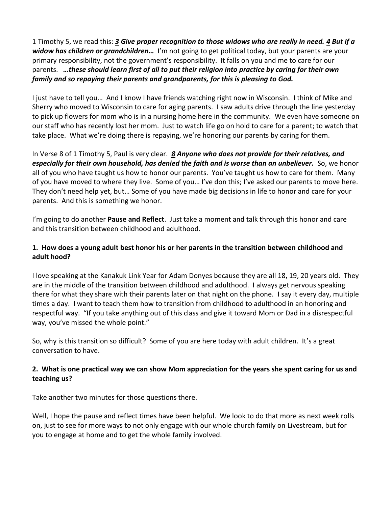1 Timothy 5, we read this: *[3](https://www.studylight.org/desk/?q=1ti%205:3&t1=en_niv&sr=1) Give proper recognition to those widows who are really in need. [4](https://www.studylight.org/desk/?q=1ti%205:4&t1=en_niv&sr=1) But if a widow has children or grandchildren…* I'm not going to get political today, but your parents are your primary responsibility, not the government's responsibility. It falls on you and me to care for our parents. *…these should learn first of all to put their religion into practice by caring for their own family and so repaying their parents and grandparents, for this is pleasing to God.*

I just have to tell you… And I know I have friends watching right now in Wisconsin. I think of Mike and Sherry who moved to Wisconsin to care for aging parents. I saw adults drive through the line yesterday to pick up flowers for mom who is in a nursing home here in the community. We even have someone on our staff who has recently lost her mom. Just to watch life go on hold to care for a parent; to watch that take place. What we're doing there is repaying, we're honoring our parents by caring for them.

In Verse 8 of 1 Timothy 5, Paul is very clear. *[8](https://www.studylight.org/desk/?q=1ti%205:8&t1=en_niv&sr=1) Anyone who does not provide for their relatives, and especially for their own household, has denied the faith and is worse than an unbeliever.* So, we honor all of you who have taught us how to honor our parents. You've taught us how to care for them. Many of you have moved to where they live. Some of you… I've don this; I've asked our parents to move here. They don't need help yet, but… Some of you have made big decisions in life to honor and care for your parents. And this is something we honor.

I'm going to do another **Pause and Reflect**. Just take a moment and talk through this honor and care and this transition between childhood and adulthood.

## **1. How does a young adult best honor his or her parents in the transition between childhood and adult hood?**

I love speaking at the Kanakuk Link Year for Adam Donyes because they are all 18, 19, 20 years old. They are in the middle of the transition between childhood and adulthood. I always get nervous speaking there for what they share with their parents later on that night on the phone. I say it every day, multiple times a day. I want to teach them how to transition from childhood to adulthood in an honoring and respectful way. "If you take anything out of this class and give it toward Mom or Dad in a disrespectful way, you've missed the whole point."

So, why is this transition so difficult? Some of you are here today with adult children. It's a great conversation to have.

## **2. What is one practical way we can show Mom appreciation for the years she spent caring for us and teaching us?**

Take another two minutes for those questions there.

Well, I hope the pause and reflect times have been helpful. We look to do that more as next week rolls on, just to see for more ways to not only engage with our whole church family on Livestream, but for you to engage at home and to get the whole family involved.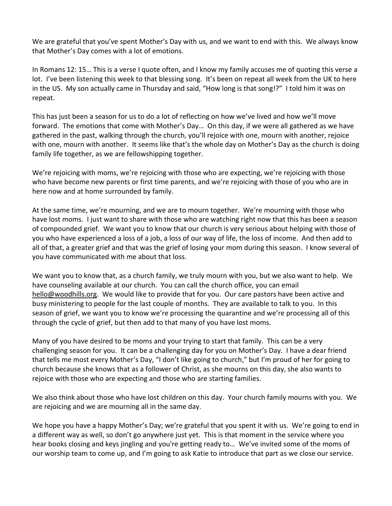We are grateful that you've spent Mother's Day with us, and we want to end with this. We always know that Mother's Day comes with a lot of emotions.

In Romans 12: 15… This is a verse I quote often, and I know my family accuses me of quoting this verse a lot. I've been listening this week to that blessing song. It's been on repeat all week from the UK to here in the US. My son actually came in Thursday and said, "How long is that song!?" I told him it was on repeat.

This has just been a season for us to do a lot of reflecting on how we've lived and how we'll move forward. The emotions that come with Mother's Day… On this day, if we were all gathered as we have gathered in the past, walking through the church, you'll rejoice with one, mourn with another, rejoice with one, mourn with another. It seems like that's the whole day on Mother's Day as the church is doing family life together, as we are fellowshipping together.

We're rejoicing with moms, we're rejoicing with those who are expecting, we're rejoicing with those who have become new parents or first time parents, and we're rejoicing with those of you who are in here now and at home surrounded by family.

At the same time, we're mourning, and we are to mourn together. We're mourning with those who have lost moms. I just want to share with those who are watching right now that this has been a season of compounded grief. We want you to know that our church is very serious about helping with those of you who have experienced a loss of a job, a loss of our way of life, the loss of income. And then add to all of that, a greater grief and that was the grief of losing your mom during this season. I know several of you have communicated with me about that loss.

We want you to know that, as a church family, we truly mourn with you, but we also want to help. We have counseling available at our church. You can call the church office, you can email [hello@woodhills.org.](mailto:hello@woodhills.org) We would like to provide that for you. Our care pastors have been active and busy ministering to people for the last couple of months. They are available to talk to you. In this season of grief, we want you to know we're processing the quarantine and we're processing all of this through the cycle of grief, but then add to that many of you have lost moms.

Many of you have desired to be moms and your trying to start that family. This can be a very challenging season for you. It can be a challenging day for you on Mother's Day. I have a dear friend that tells me most every Mother's Day, "I don't like going to church," but I'm proud of her for going to church because she knows that as a follower of Christ, as she mourns on this day, she also wants to rejoice with those who are expecting and those who are starting families.

We also think about those who have lost children on this day. Your church family mourns with you. We are rejoicing and we are mourning all in the same day.

We hope you have a happy Mother's Day; we're grateful that you spent it with us. We're going to end in a different way as well, so don't go anywhere just yet. This is that moment in the service where you hear books closing and keys jingling and you're getting ready to… We've invited some of the moms of our worship team to come up, and I'm going to ask Katie to introduce that part as we close our service.